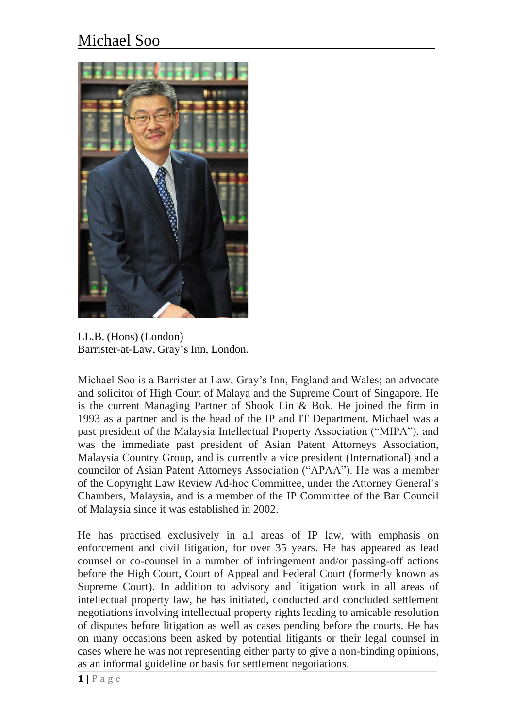## Michael Soo



LL.B. (Hons) (London) Barrister-at-Law, Gray's Inn, London.

Michael Soo is a Barrister at Law, Gray's Inn, England and Wales; an advocate and solicitor of High Court of Malaya and the Supreme Court of Singapore. He is the current Managing Partner of Shook Lin & Bok. He joined the firm in 1993 as a partner and is the head of the IP and IT Department. Michael was a past president of the Malaysia Intellectual Property Association ("MIPA"), and was the immediate past president of Asian Patent Attorneys Association, Malaysia Country Group, and is currently a vice president (International) and a councilor of Asian Patent Attorneys Association ("APAA"). He was a member of the Copyright Law Review Ad-hoc Committee, under the Attorney General's Chambers, Malaysia, and is a member of the IP Committee of the Bar Council of Malaysia since it was established in 2002.

He has practised exclusively in all areas of IP law, with emphasis on enforcement and civil litigation, for over 35 years. He has appeared as lead counsel or co-counsel in a number of infringement and/or passing-off actions before the High Court, Court of Appeal and Federal Court (formerly known as Supreme Court). In addition to advisory and litigation work in all areas of intellectual property law, he has initiated, conducted and concluded settlement negotiations involving intellectual property rights leading to amicable resolution of disputes before litigation as well as cases pending before the courts. He has on many occasions been asked by potential litigants or their legal counsel in cases where he was not representing either party to give a non-binding opinions, as an informal guideline or basis for settlement negotiations.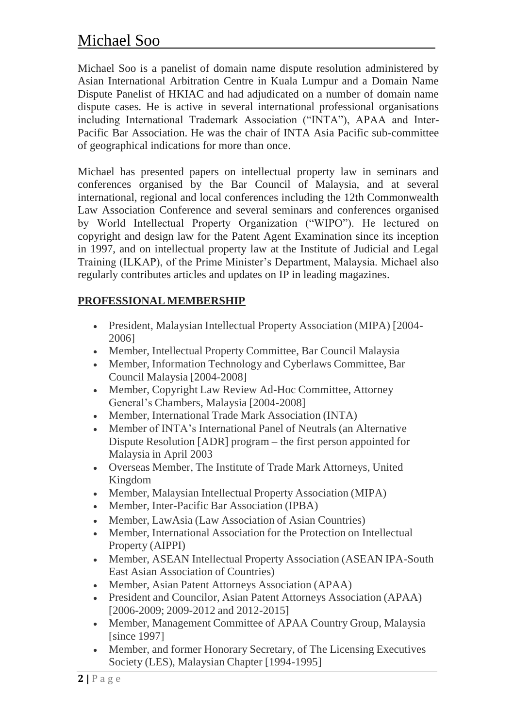## Michael Soo

Michael Soo is a panelist of domain name dispute resolution administered by Asian International Arbitration Centre in Kuala Lumpur and a Domain Name Dispute Panelist of HKIAC and had adjudicated on a number of domain name dispute cases. He is active in several international professional organisations including International Trademark Association ("INTA"), APAA and Inter-Pacific Bar Association. He was the chair of INTA Asia Pacific sub-committee of geographical indications for more than once.

Michael has presented papers on intellectual property law in seminars and conferences organised by the Bar Council of Malaysia, and at several international, regional and local conferences including the 12th Commonwealth Law Association Conference and several seminars and conferences organised by World Intellectual Property Organization ("WIPO"). He lectured on copyright and design law for the Patent Agent Examination since its inception in 1997, and on intellectual property law at the Institute of Judicial and Legal Training (ILKAP), of the Prime Minister's Department, Malaysia. Michael also regularly contributes articles and updates on IP in leading magazines.

## **PROFESSIONAL MEMBERSHIP**

- President, Malaysian Intellectual Property Association (MIPA) [2004- 2006]
- Member, Intellectual Property Committee, Bar Council Malaysia
- Member, Information Technology and Cyberlaws Committee, Bar Council Malaysia [2004-2008]
- Member, Copyright Law Review Ad-Hoc Committee, Attorney General's Chambers, Malaysia [2004-2008]
- Member, International Trade Mark Association (INTA)
- Member of INTA's International Panel of Neutrals (an Alternative Dispute Resolution [ADR] program – the first person appointed for Malaysia in April 2003
- Overseas Member, The Institute of Trade Mark Attorneys, United Kingdom
- Member, Malaysian Intellectual Property Association (MIPA)
- Member, Inter-Pacific Bar Association (IPBA)
- Member, LawAsia (Law Association of Asian Countries)
- Member, International Association for the Protection on Intellectual Property (AIPPI)
- Member, ASEAN Intellectual Property Association (ASEAN IPA-South East Asian Association of Countries)
- Member, Asian Patent Attorneys Association (APAA)
- President and Councilor, Asian Patent Attorneys Association (APAA) [2006-2009; 2009-2012 and 2012-2015]
- Member, Management Committee of APAA Country Group, Malaysia [since 1997]
- Member, and former Honorary Secretary, of The Licensing Executives Society (LES), Malaysian Chapter [1994-1995]